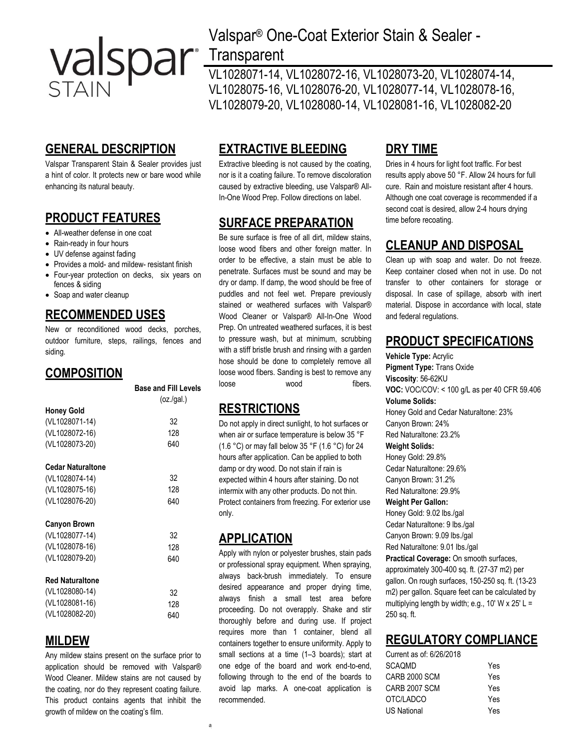

# **GENERAL DESCRIPTION**

Valspar Transparent Stain & Sealer provides just a hint of color. It protects new or bare wood while enhancing its natural beauty.

#### **PRODUCT FEATURES**

- All-weather defense in one coat
- Rain-ready in four hours
- UV defense against fading
- Provides a mold- and mildew- resistant finish
- Four-year protection on decks, six years on
- fences & siding • Soap and water cleanup

#### **RECOMMENDED USES**

New or reconditioned wood decks, porches, outdoor furniture, steps, railings, fences and siding.

#### **COMPOSITION**

|                        | <b>Base and Fill Levels</b> |
|------------------------|-----------------------------|
|                        | (oz/gal.)                   |
| <b>Honey Gold</b>      |                             |
| (VL1028071-14)         | 32                          |
| (VL1028072-16)         | 128                         |
| (VL1028073-20)         | 640                         |
| Cedar Naturaltone      |                             |
| (VL1028074-14)         | 32                          |
| (VL1028075-16)         | 128                         |
| (VL1028076-20)         | 640                         |
| <b>Canyon Brown</b>    |                             |
| (VL1028077-14)         | 32                          |
| (VL1028078-16)         | 128                         |
| (VL1028079-20)         | 640                         |
| <b>Red Naturaltone</b> |                             |
| (VL1028080-14)         | 32                          |
| (VL1028081-16)         | 128                         |
| (VL1028082-20)         | 640                         |

#### **MILDEW**

Any mildew stains present on the surface prior to application should be removed with Valspar® Wood Cleaner. Mildew stains are not caused by the coating, nor do they represent coating failure. This product contains agents that inhibit the growth of mildew on the coating's film.

# Valspar® One-Coat Exterior Stain & Sealer -

# **Transparent**

VL1028071-14, VL1028072-16, VL1028073-20, VL1028074-14, VL1028075-16, VL1028076-20, VL1028077-14, VL1028078-16, VL1028079-20, VL1028080-14, VL1028081-16, VL1028082-20

# **EXTRACTIVE BLEEDING**

Extractive bleeding is not caused by the coating, nor is it a coating failure. To remove discoloration caused by extractive bleeding, use Valspar® All-In-One Wood Prep. Follow directions on label.

## **SURFACE PREPARATION**

Be sure surface is free of all dirt, mildew stains, loose wood fibers and other foreign matter. In order to be effective, a stain must be able to penetrate. Surfaces must be sound and may be dry or damp. If damp, the wood should be free of puddles and not feel wet. Prepare previously stained or weathered surfaces with Valspar® Wood Cleaner or Valspar® All-In-One Wood Prep. On untreated weathered surfaces, it is best to pressure wash, but at minimum, scrubbing with a stiff bristle brush and rinsing with a garden hose should be done to completely remove all loose wood fibers. Sanding is best to remove any loose wood fibers.

## **RESTRICTIONS**

Do not apply in direct sunlight, to hot surfaces or when air or surface temperature is below 35 °F (1.6 °C) or may fall below 35 °F (1.6 °C) for 24 hours after application. Can be applied to both damp or dry wood. Do not stain if rain is expected within 4 hours after staining. Do not intermix with any other products. Do not thin. Protect containers from freezing. For exterior use only.

#### **APPLICATION**

Apply with nylon or polyester brushes, stain pads or professional spray equipment. When spraying, always back-brush immediately. To ensure desired appearance and proper drying time, always finish a small test area before proceeding. Do not overapply. Shake and stir thoroughly before and during use. If project requires more than 1 container, blend all containers together to ensure uniformity. Apply to small sections at a time (1–3 boards); start at one edge of the board and work end-to-end, following through to the end of the boards to avoid lap marks. A one-coat application is recommended.

## **DRY TIME**

Dries in 4 hours for light foot traffic. For best results apply above 50 °F. Allow 24 hours for full cure. Rain and moisture resistant after 4 hours. Although one coat coverage is recommended if a second coat is desired, allow 2-4 hours drying time before recoating.

# **CLEANUP AND DISPOSAL**

Clean up with soap and water. Do not freeze. Keep container closed when not in use. Do not transfer to other containers for storage or disposal. In case of spillage, absorb with inert material. Dispose in accordance with local, state and federal regulations.

#### **PRODUCT SPECIFICATIONS**

**Vehicle Type:** Acrylic **Pigment Type:** Trans Oxide **Viscosity**: 56-62KU **VOC:** VOC/COV: < 100 g/L as per 40 CFR 59.406 **Volume Solids:** Honey Gold and Cedar Naturaltone: 23% Canyon Brown: 24% Red Naturaltone: 23.2% **Weight Solids:** Honey Gold: 29.8% Cedar Naturaltone: 29.6% Canyon Brown: 31.2% Red Naturaltone: 29.9% **Weight Per Gallon:** Honey Gold: 9.02 lbs./gal Cedar Naturaltone: 9 lbs./gal Canyon Brown: 9.09 lbs./gal Red Naturaltone: 9.01 lbs./gal **Practical Coverage:** On smooth surfaces, approximately 300-400 sq. ft. (27-37 m2) per gallon. On rough surfaces, 150-250 sq. ft. (13-23 m2) per gallon. Square feet can be calculated by multiplying length by width; e.g., 10' W x 25' L = 250 sq. ft.

#### **REGULATORY COMPLIANCE**

| Current as of: 6/26/2018 |     |
|--------------------------|-----|
| SCAOMD                   | Yes |
| CARB 2000 SCM            | Yes |
| CARB 2007 SCM            | Yes |
| OTC/LADCO                | Yes |
| US National              | Yes |